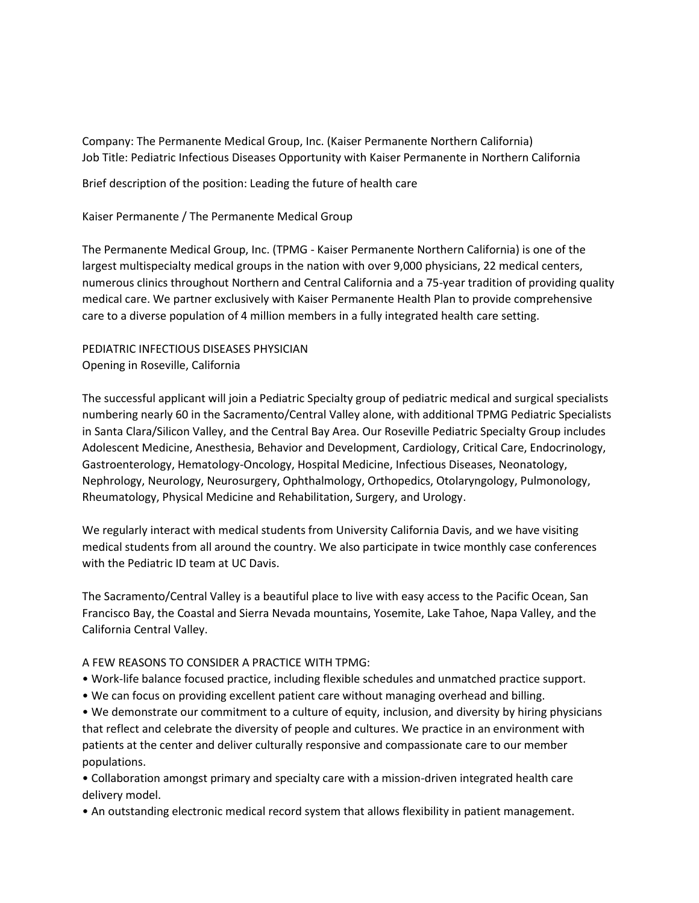Company: The Permanente Medical Group, Inc. (Kaiser Permanente Northern California) Job Title: Pediatric Infectious Diseases Opportunity with Kaiser Permanente in Northern California

Brief description of the position: Leading the future of health care

Kaiser Permanente / The Permanente Medical Group

The Permanente Medical Group, Inc. (TPMG - Kaiser Permanente Northern California) is one of the largest multispecialty medical groups in the nation with over 9,000 physicians, 22 medical centers, numerous clinics throughout Northern and Central California and a 75-year tradition of providing quality medical care. We partner exclusively with Kaiser Permanente Health Plan to provide comprehensive care to a diverse population of 4 million members in a fully integrated health care setting.

PEDIATRIC INFECTIOUS DISEASES PHYSICIAN Opening in Roseville, California

The successful applicant will join a Pediatric Specialty group of pediatric medical and surgical specialists numbering nearly 60 in the Sacramento/Central Valley alone, with additional TPMG Pediatric Specialists in Santa Clara/Silicon Valley, and the Central Bay Area. Our Roseville Pediatric Specialty Group includes Adolescent Medicine, Anesthesia, Behavior and Development, Cardiology, Critical Care, Endocrinology, Gastroenterology, Hematology-Oncology, Hospital Medicine, Infectious Diseases, Neonatology, Nephrology, Neurology, Neurosurgery, Ophthalmology, Orthopedics, Otolaryngology, Pulmonology, Rheumatology, Physical Medicine and Rehabilitation, Surgery, and Urology.

We regularly interact with medical students from University California Davis, and we have visiting medical students from all around the country. We also participate in twice monthly case conferences with the Pediatric ID team at UC Davis.

The Sacramento/Central Valley is a beautiful place to live with easy access to the Pacific Ocean, San Francisco Bay, the Coastal and Sierra Nevada mountains, Yosemite, Lake Tahoe, Napa Valley, and the California Central Valley.

## A FEW REASONS TO CONSIDER A PRACTICE WITH TPMG:

- Work-life balance focused practice, including flexible schedules and unmatched practice support.
- We can focus on providing excellent patient care without managing overhead and billing.

• We demonstrate our commitment to a culture of equity, inclusion, and diversity by hiring physicians that reflect and celebrate the diversity of people and cultures. We practice in an environment with patients at the center and deliver culturally responsive and compassionate care to our member populations.

• Collaboration amongst primary and specialty care with a mission-driven integrated health care delivery model.

• An outstanding electronic medical record system that allows flexibility in patient management.